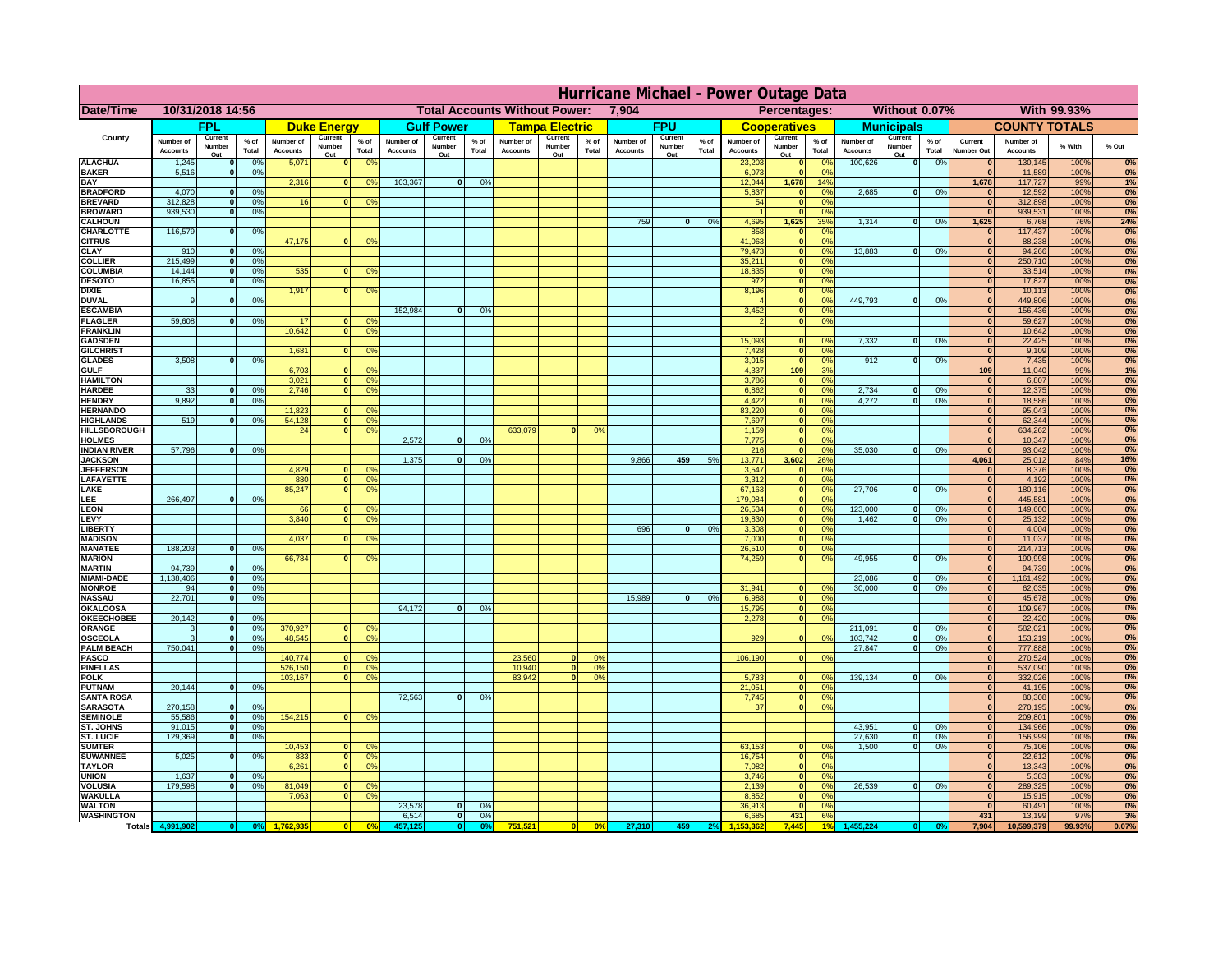|                                      | Hurricane Michael - Power Outage Data |                             |                      |                              |                              |                                  |                              |                                      |                |                              |                          |                 |                              |                          |                 |                              |                          |                 |                              |                          |                 |                              |                              |              |           |
|--------------------------------------|---------------------------------------|-----------------------------|----------------------|------------------------------|------------------------------|----------------------------------|------------------------------|--------------------------------------|----------------|------------------------------|--------------------------|-----------------|------------------------------|--------------------------|-----------------|------------------------------|--------------------------|-----------------|------------------------------|--------------------------|-----------------|------------------------------|------------------------------|--------------|-----------|
| Date/Time                            |                                       | 10/31/2018 14:56            |                      |                              |                              |                                  |                              | <b>Total Accounts Without Power:</b> |                |                              |                          |                 | 7,904                        |                          |                 |                              | Percentages:             |                 |                              | Without 0.07%            |                 |                              |                              | With 99.93%  |           |
|                                      |                                       | FPL                         |                      |                              | <b>Duke Energy</b>           |                                  |                              | <b>Gulf Power</b>                    |                |                              | <b>Tampa Electric</b>    |                 |                              | <b>FPU</b>               |                 |                              | <b>Cooperatives</b>      |                 |                              | <b>Municipals</b>        |                 |                              | <b>COUNTY TOTALS</b>         |              |           |
| County                               | Number of<br><b>Accounts</b>          | Current<br>Number<br>Out    | $%$ of<br>Total      | Number of<br><b>Accounts</b> | Current<br>Number<br>Out     | $%$ of<br>Total                  | Number of<br><b>Accounts</b> | Current<br>Number<br>Out             | % of<br>Total  | Number of<br><b>Accounts</b> | Current<br>Number<br>Out | $%$ of<br>Total | Number of<br><b>Accounts</b> | Current<br>Number<br>Out | $%$ of<br>Total | Number of<br><b>Accounts</b> | Current<br>Number<br>Out | $%$ of<br>Total | Number of<br><b>Accounts</b> | Current<br>Number<br>Out | $%$ of<br>Total | Current<br><b>Number Out</b> | Number of<br><b>Accounts</b> | % With       | % Out     |
| <b>ALACHUA</b>                       | 1,245                                 | $\mathbf{0}$                | 0%                   | 5,071                        | $\mathbf{0}$                 | 0 <sup>9</sup>                   |                              |                                      |                |                              |                          |                 |                              |                          |                 | 23,203                       | 0                        | 0 <sup>9</sup>  | 100,626                      | 0                        | 0%              | $\bf{0}$                     | 130,145                      | 100%         | 0%        |
| <b>BAKER</b><br><b>BAY</b>           | 5,516                                 | 0                           | 0%                   | 2,316                        |                              | 0 <br>0 <sup>9</sup>             | 103,367                      | 0                                    | 0%             |                              |                          |                 |                              |                          |                 | 6,073<br>12,044              | 0 <br>1,678              | 0%<br>14%       |                              |                          |                 | 0 <br>1,678                  | 11,589<br>117,727            | 100%<br>99%  | 0%<br>1%  |
| <b>BRADFORD</b>                      | 4,070                                 | $\mathbf{0}$                | 0%                   |                              |                              |                                  |                              |                                      |                |                              |                          |                 |                              |                          |                 | 5,837                        | 0                        | 0%              | 2,685                        | 0                        | 0%              | $\bf{0}$                     | 12,592                       | 100%         | 0%        |
| <b>BREVARD</b>                       | 312,828                               | 0                           | 0%                   | 16                           | 0                            | 0 <sup>o</sup>                   |                              |                                      |                |                              |                          |                 |                              |                          |                 | 54                           | 0                        | 0%              |                              |                          |                 | 0                            | 312,898                      | 100%         | 0%        |
| <b>BROWARD</b>                       | 939.530                               | 0                           | 0%                   |                              |                              |                                  |                              |                                      |                |                              |                          |                 |                              |                          |                 |                              | 0                        | 0%              |                              |                          |                 | $\bf{0}$                     | 939,531                      | 100%         | 0%        |
| <b>CALHOUN</b><br>CHARLOTTE          | 116,579                               | 0                           | 0%                   |                              |                              |                                  |                              |                                      |                |                              |                          |                 | 759                          | $\mathbf{0}$             | 0%              | 4,695<br>858                 | 1,625<br> 0              | 35%<br>0%       | 1,314                        | 0                        | 0%              | 1,625<br>$\bf{0}$            | 6,768<br>117,437             | 76%<br>100%  | 24%<br>0% |
| <b>CITRUS</b>                        |                                       |                             |                      | 47,175                       | $\mathbf{0}$                 | 0 <sup>o</sup>                   |                              |                                      |                |                              |                          |                 |                              |                          |                 | 41,063                       | 0                        | 0 <sup>9</sup>  |                              |                          |                 | $\bf{0}$                     | 88,238                       | 100%         | 0%        |
| <b>CLAY</b>                          | 910                                   | $\mathbf{0}$                | 0%                   |                              |                              |                                  |                              |                                      |                |                              |                          |                 |                              |                          |                 | 79,473                       | 0                        | 0 <sup>9</sup>  | 13,883                       | $\mathbf{0}$             | 0%              | $\bf{0}$                     | 94,266                       | 100%         | 0%        |
| <b>COLLIER</b><br><b>COLUMBIA</b>    | 215,499<br>14,144                     | $\mathbf{0}$<br>$\mathbf 0$ | 0 <sup>9</sup><br>0% | 535                          | $\mathbf{0}$                 | 0 <sup>9</sup>                   |                              |                                      |                |                              |                          |                 |                              |                          |                 | 35,211<br>18,835             | 0 <br> 0                 | 0%<br>0%        |                              |                          |                 | $\bf{0}$<br>$\bf{0}$         | 250,710<br>33,514            | 100%<br>100% | 0%<br>0%  |
| <b>DESOTO</b>                        | 16,855                                | $\mathbf{0}$                | 0%                   |                              |                              |                                  |                              |                                      |                |                              |                          |                 |                              |                          |                 | 972                          | 0                        | 0%              |                              |                          |                 | $\bf{0}$                     | 17,827                       | 100%         | 0%        |
| <b>DIXIE</b>                         |                                       |                             |                      | 1,917                        | $\mathbf{0}$                 | 0 <sup>9</sup>                   |                              |                                      |                |                              |                          |                 |                              |                          |                 | 8,196                        | 0                        | 0%              |                              |                          |                 | $\Omega$                     | 10,113                       | 100%         | 0%        |
| <b>DUVAL</b>                         | 9                                     | $\Omega$                    | 0%                   |                              |                              |                                  |                              |                                      |                |                              |                          |                 |                              |                          |                 |                              | 0                        | 0%              | 449.793                      | $\overline{0}$           | 0%              | $\Omega$                     | 449,806                      | 100%         | 0%        |
| <b>ESCAMBIA</b><br><b>FLAGLER</b>    | 59,608                                | $\overline{0}$              | 0%                   | 17                           | $\bf{0}$                     | 0 <sup>o</sup>                   | 152,984                      | $\mathbf{0}$                         | 0 <sup>9</sup> |                              |                          |                 |                              |                          |                 | 3,452                        | 0 <br> 0                 | 0%<br>0%        |                              |                          |                 | $\Omega$<br>$\bf{0}$         | 156,436<br>59,627            | 100%<br>100% | 0%<br>0%  |
| <b>FRANKLIN</b>                      |                                       |                             |                      | 10,642                       | 0                            | 0 <sup>9</sup>                   |                              |                                      |                |                              |                          |                 |                              |                          |                 |                              |                          |                 |                              |                          |                 | $\overline{0}$               | 10,642                       | 100%         | 0%        |
| <b>GADSDEN</b>                       |                                       |                             |                      |                              |                              |                                  |                              |                                      |                |                              |                          |                 |                              |                          |                 | 15,093                       | $\mathbf{0}$             | 0%              | 7,332                        | 0                        | 0%              | $\overline{0}$               | 22,425                       | 100%         | 0%        |
| <b>GILCHRIST</b>                     |                                       |                             |                      | 1,681                        | $\Omega$                     | 0 <sup>9</sup>                   |                              |                                      |                |                              |                          |                 |                              |                          |                 | 7,428                        | 0                        | 0%              |                              |                          |                 | $\hat{\mathbf{0}}$           | 9,109                        | 100%         | 0%        |
| <b>GLADES</b><br><b>GULF</b>         | 3,508                                 | 0                           | 0%                   | 6,703                        |                              | $\mathbf{0}$<br>0 <sup>9</sup>   |                              |                                      |                |                              |                          |                 |                              |                          |                 | 3,015<br>4,337               | 0 <br>109                | 0%<br>3%        | 912                          | $\overline{0}$           | 0%              | 0 <br>109                    | 7,435<br>11,040              | 100%<br>99%  | 0%<br>1%  |
| <b>HAMILTON</b>                      |                                       |                             |                      | 3,021                        |                              | $\overline{0}$<br>0 <sup>9</sup> |                              |                                      |                |                              |                          |                 |                              |                          |                 | 3,786                        | 0                        | 0%              |                              |                          |                 | 0                            | 6,807                        | 100%         | 0%        |
| <b>HARDEE</b>                        | 33                                    | $\mathbf{0}$                | 0%                   | 2.746                        | $\overline{0}$               | 0 <sup>9</sup>                   |                              |                                      |                |                              |                          |                 |                              |                          |                 | 6.862                        | 0                        | 0%              | 2.734                        | $\mathbf{0}$             | 0%              | 0                            | 12,375                       | 100%         | 0%        |
| <b>HENDRY</b>                        | 9,892                                 | $\Omega$                    | 0%                   |                              |                              |                                  |                              |                                      |                |                              |                          |                 |                              |                          |                 | 4,422                        | 0                        | 0%              | 4,272                        | $\Omega$                 | 0%              | 0                            | 18,586                       | 100%         | 0%        |
| <b>HERNANDO</b><br><b>HIGHLANDS</b>  | 519                                   | $\mathbf{0}$                | 0 <sup>9</sup>       | 11,823<br>54,128             | $\mathbf{0}$<br> 0           | 0 <sup>9</sup><br>0 <sup>9</sup> |                              |                                      |                |                              |                          |                 |                              |                          |                 | 83,220<br>7,697              | 0 <br> 0                 | 0%<br>0%        |                              |                          |                 | $\mathbf{0}$<br>$\mathbf{0}$ | 95,043<br>62,344             | 100%<br>100% | 0%<br>0%  |
| <b>HILLSBOROUGH</b>                  |                                       |                             |                      | 24                           | 0                            | 0 <sup>9</sup>                   |                              |                                      |                | 633,079                      |                          | 0%              |                              |                          |                 | 1,159                        | 0                        | 0%              |                              |                          |                 | $\mathbf{0}$                 | 634,262                      | 100%         | 0%        |
| <b>HOLMES</b>                        |                                       |                             |                      |                              |                              |                                  | 2.572                        | $\mathbf{0}$                         | 0%             |                              |                          |                 |                              |                          |                 | 7,775                        | 0                        | 0%              |                              |                          |                 | $\mathbf{0}$                 | 10,347                       | 100%         | 0%        |
| <b>INDIAN RIVER</b>                  | 57,796                                | $\mathbf{0}$                | 0%                   |                              |                              |                                  |                              |                                      |                |                              |                          |                 |                              |                          |                 | 216                          | 0                        | 0%              | 35,030                       | $\mathbf{0}$             | 0%              | $\mathbf{0}$                 | 93,042                       | 100%         | 0%        |
| <b>JACKSON</b><br><b>JEFFERSON</b>   |                                       |                             |                      | 4.829                        | n l                          | 0 <sup>9</sup>                   | 1.375                        | $\mathbf{0}$                         | 0 <sup>9</sup> |                              |                          |                 | 9.866                        | 459                      | 5%              | 13.771<br>3.547              | 3.602<br> 0              | 26%<br>0%       |                              |                          |                 | 4.061<br> 0                  | 25,012<br>8.376              | 84%<br>100%  | 16%<br>0% |
| LAFAYETTE                            |                                       |                             |                      | 880                          | 0                            | 0 <sup>9</sup>                   |                              |                                      |                |                              |                          |                 |                              |                          |                 | 3.312                        | 0                        | 0%              |                              |                          |                 | 0                            | 4,192                        | 100%         | 0%        |
| LAKE                                 |                                       |                             |                      | 85,247                       | $\mathbf{0}$                 | 0 <sup>9</sup>                   |                              |                                      |                |                              |                          |                 |                              |                          |                 | 67,163                       | 0                        | 0%              | 27,706                       | $\Omega$                 | 0%              | 0                            | 180,116                      | 100%         | 0%        |
| EE.                                  | 266,497                               | 0                           | 0%                   |                              | $\mathbf{0}$                 |                                  |                              |                                      |                |                              |                          |                 |                              |                          |                 | 179,084                      | 0                        | 0%              | 123,000                      | $\mathbf{0}$             |                 | 0                            | 445,581                      | 100%         | 0%<br>0%  |
| LEON<br>LEVY                         |                                       |                             |                      | 66<br>3,840                  | $\Omega$                     | 0 <sup>o</sup><br>0 <sup>9</sup> |                              |                                      |                |                              |                          |                 |                              |                          |                 | 26,534<br>19,830             | 0 <br> 0                 | 0%<br>0%        | 1,462                        | 0                        | 0%<br>0%        | 0 <br> 0                     | 149,600<br>25,132            | 100%<br>100% | 0%        |
| LIBERTY                              |                                       |                             |                      |                              |                              |                                  |                              |                                      |                |                              |                          |                 | 696                          | $\Omega$                 | 0%              | 3,308                        | 0                        | 0%              |                              |                          |                 | 0                            | 4,004                        | 100%         | 0%        |
| <b>MADISON</b>                       |                                       |                             |                      | 4,037                        | $\Omega$                     | 0 <sup>9</sup>                   |                              |                                      |                |                              |                          |                 |                              |                          |                 | 7,000                        | 0                        | 0%              |                              |                          |                 | 0                            | 11,037                       | 100%         | 0%        |
| <b>MANATEE</b><br><b>MARION</b>      | 188,203                               | 0                           | 0%                   | 66,784                       | $\Omega$                     | 0 <sup>9</sup>                   |                              |                                      |                |                              |                          |                 |                              |                          |                 | 26,510<br>74,259             | 0 <br> 0                 | 0%<br>0%        | 49,955                       | nl                       | 0%              | 0 <br> 0                     | 214,713<br>190,998           | 100%<br>100% | 0%<br>0%  |
| <b>MARTIN</b>                        | 94,739                                | 0                           | 0%                   |                              |                              |                                  |                              |                                      |                |                              |                          |                 |                              |                          |                 |                              |                          |                 |                              |                          |                 | 0                            | 94,739                       | 100%         | 0%        |
| <b>MIAMI-DADE</b>                    | 1,138,406                             | 0                           | 0%                   |                              |                              |                                  |                              |                                      |                |                              |                          |                 |                              |                          |                 |                              |                          |                 | 23,086                       | $\mathbf{0}$             | 0%              | 0                            | 1,161,492                    | 100%         | 0%        |
| <b>MONROE</b>                        | 94                                    | 0                           | 0%                   |                              |                              |                                  |                              |                                      |                |                              |                          |                 |                              |                          |                 | 31,941                       | $\overline{0}$           | 0 <sup>9</sup>  | 30,000                       | 0                        | 0%              | 0                            | 62,035                       | 100%         | 0%        |
| <b>NASSAU</b><br><b>OKALOOSA</b>     | 22,701                                | 0                           | 0%                   |                              |                              |                                  | 94,172                       | $\mathbf{0}$                         | 0%             |                              |                          |                 | 15,989                       | 0                        | 0%              | 6,988<br>15,795              | 0 <br> 0                 | 0%<br>0%        |                              |                          |                 | 0 <br> 0                     | 45,678<br>109,967            | 100%<br>100% | 0%<br>0%  |
| <b>OKEECHOBEE</b>                    | 20,142                                | 0                           | 0%                   |                              |                              |                                  |                              |                                      |                |                              |                          |                 |                              |                          |                 | 2,278                        |                          | 0%<br> 0        |                              |                          |                 | 0                            | 22,420                       | 100%         | 0%        |
| ORANGE                               | 3                                     | 0                           | 0%                   | 370,927                      |                              | 0 <br>0 <sup>o</sup>             |                              |                                      |                |                              |                          |                 |                              |                          |                 |                              |                          |                 | 211,091                      | $\overline{\mathbf{0}}$  | 0%              | 0                            | 582,021                      | 100%         | 0%        |
| <b>OSCEOLA</b>                       | 3                                     | 0                           | 0%                   | 48,545                       |                              | 0 <sup>9</sup><br> 0             |                              |                                      |                |                              |                          |                 |                              |                          |                 | 929                          |                          | 0 <br>0%        | 103,742                      | 0                        | 0%              | 0                            | 153,219                      | 100%         | 0%        |
| <b>PALM BEACH</b><br>PASCO           | 750,041                               | 0                           | 0%                   | 140,774                      | $\Omega$                     | 0 <sup>9</sup>                   |                              |                                      |                | 23,560                       | $\Omega$                 | $^{\circ}$      |                              |                          |                 | 106,190                      |                          | 0 <br>0%        | 27,847                       | $\overline{\mathbf{0}}$  | 0%              | 0 <br> 0                     | 777,888<br>270,524           | 100%<br>100% | 0%<br>0%  |
| <b>PINELLAS</b>                      |                                       |                             |                      | 526,150                      |                              | 0 <sup>9</sup><br> 0             |                              |                                      |                | 10,940                       | 0                        | 0%              |                              |                          |                 |                              |                          |                 |                              |                          |                 | $\Omega$                     | 537,090                      | 100%         | 0%        |
| <b>POLK</b>                          |                                       |                             |                      | 103,167                      |                              | 0 <sup>9</sup><br> 0             |                              |                                      |                | 83,942                       | $\mathbf{a}$             | 0%              |                              |                          |                 | 5,783                        | 0                        | $\Omega$        | 139,134                      | 0                        | 0%              | 0                            | 332,026                      | 100%         | 0%        |
| <b>PUTNAM</b>                        | 20,144                                | 0                           | 0%                   |                              |                              |                                  |                              |                                      |                |                              |                          |                 |                              |                          |                 | 21,051                       | $\ddot{\textbf{0}}$      | 0%              |                              |                          |                 | $\bf{0}$                     | 41,195                       | 100%         | 0%        |
| <b>SANTA ROSA</b><br><b>SARASOTA</b> | 270,158                               | 0                           | 0%                   |                              |                              |                                  | 72,563                       | 0                                    | 0%             |                              |                          |                 |                              |                          |                 | 7,745<br>37                  | 0                        | 0%<br> 0 <br>0% |                              |                          |                 | $\mathbf{0}$<br>$\mathbf{0}$ | 80,308<br>270,195            | 100%<br>100% | 0%<br>0%  |
| <b>SEMINOLE</b>                      | 55,586                                | 0                           | 0%                   | 154,215                      |                              | $\mathbf{0}$<br>0 <sup>9</sup>   |                              |                                      |                |                              |                          |                 |                              |                          |                 |                              |                          |                 |                              |                          |                 | $\mathbf{0}$                 | 209,801                      | 100%         | 0%        |
| ST. JOHNS                            | 91,015                                | 0                           | 0%                   |                              |                              |                                  |                              |                                      |                |                              |                          |                 |                              |                          |                 |                              |                          |                 | 43,951                       | -ol                      | 0%              | 0                            | 134,966                      | 100%         | 0%        |
| <b>ST. LUCIE</b>                     | 129.369                               | $\mathbf{0}$                | 0%                   |                              |                              |                                  |                              |                                      |                |                              |                          |                 |                              |                          |                 |                              |                          |                 | 27.630                       | - O I                    | 0%              | 0                            | 156,999                      | 100%         | 0%        |
| <b>SUMTER</b><br><b>SUWANNEE</b>     | 5,025                                 | 0                           | 0%                   | 10,453<br>833                | $\overline{0}$<br> 0         | 0 <sup>9</sup><br>0 <sup>o</sup> |                              |                                      |                |                              |                          |                 |                              |                          |                 | 63,153<br>16,754             | 0 <br> 0                 | 0%<br>0%        | 1.500                        | 0                        | 0%              | 0 <br>$\mathbf{0}$           | 75,106<br>22,612             | 100%<br>100% | 0%<br>0%  |
| <b>TAYLOR</b>                        |                                       |                             |                      | 6,261                        | 0                            | 0 <sup>9</sup>                   |                              |                                      |                |                              |                          |                 |                              |                          |                 | 7,082                        | 0                        | 0%              |                              |                          |                 | $\bf{0}$                     | 13,343                       | 100%         | 0%        |
| <b>UNION</b>                         | 1,637                                 | $\mathbf{0}$                | 0%                   |                              |                              |                                  |                              |                                      |                |                              |                          |                 |                              |                          |                 | 3,746                        | 0                        | 0%              |                              |                          |                 | $\bf{0}$                     | 5,383                        | 100%         | 0%        |
| <b>VOLUSIA</b>                       | 179,598                               | 0                           | 0%                   | 81,049                       | $\mathbf{0}$<br>$\mathbf{0}$ | $\mathbf{0}$                     |                              |                                      |                |                              |                          |                 |                              |                          |                 | 2,139                        | 0                        | 0%              | 26,539                       | 0                        | 0%              | $\bf{0}$<br>$\mathbf{0}$     | 289,325                      | 100%         | 0%        |
| <b>WAKULLA</b><br><b>WALTON</b>      |                                       |                             |                      | 7,063                        |                              | 0 <sup>9</sup>                   | 23,578                       | $\mathbf{0}$                         | 0%             |                              |                          |                 |                              |                          |                 | 8,852<br>36,913              | 0 <br> 0                 | 0%<br>0%        |                              |                          |                 | 0                            | 15,915<br>60,491             | 100%<br>100% | 0%<br>0%  |
| <b>WASHINGTON</b>                    |                                       |                             |                      |                              |                              |                                  | 6,514                        | 0                                    | 0%             |                              |                          |                 |                              |                          |                 | 6,685                        | 431                      | 6%              |                              |                          |                 | 431                          | 13,199                       | 97%          | 3%        |
| <b>Totals</b>                        |                                       |                             |                      |                              |                              | 0 <sup>6</sup>                   |                              | $\bullet$                            |                | 751,521                      | 0                        | 0%              | 27,310                       | 459                      |                 |                              | 7,445                    | 1 <sup>°</sup>  |                              |                          |                 | 7,904                        | 10,599,379                   | 99.93%       | 0.07%     |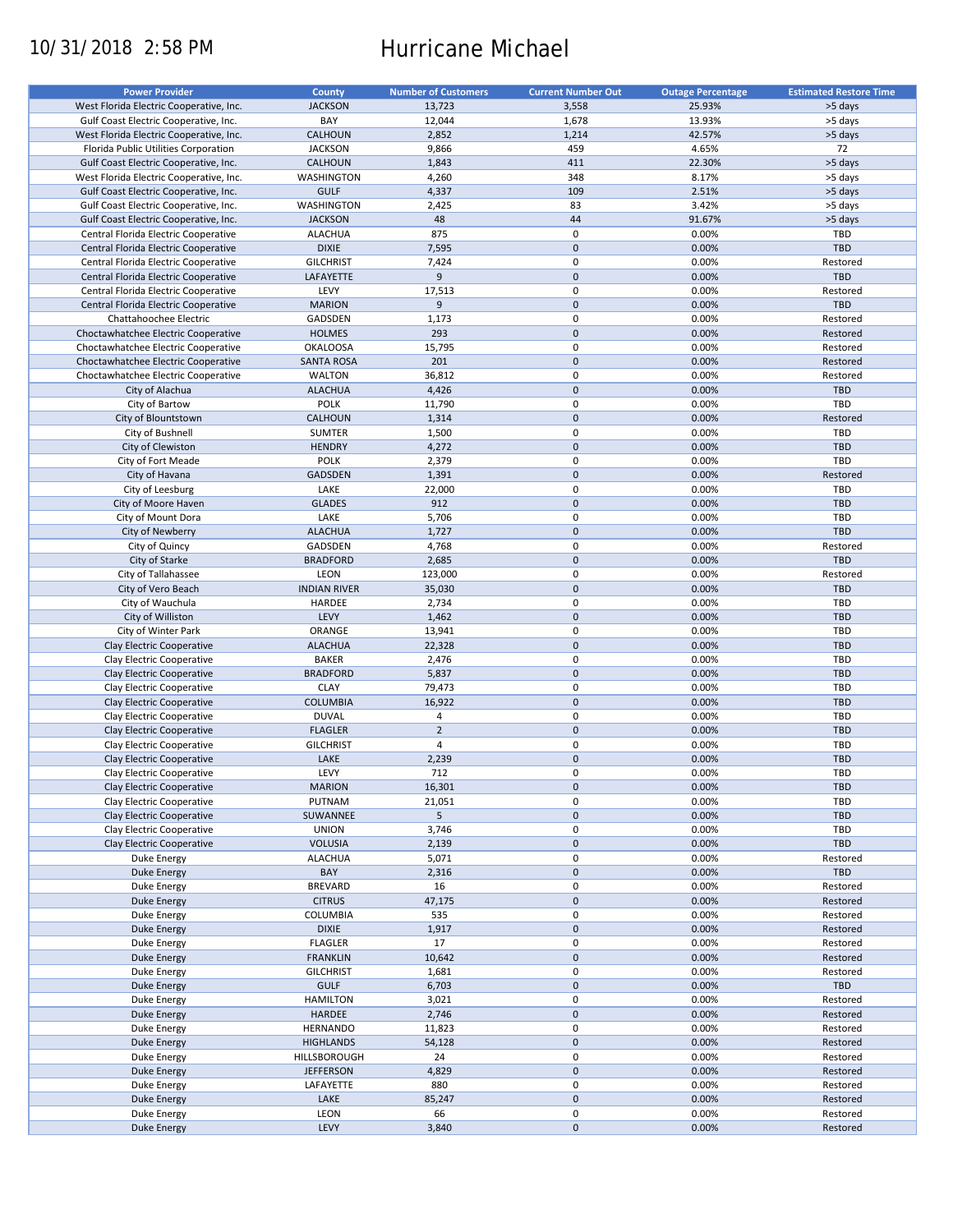# 10/31/2018 2:58 PM Hurricane Michael

| <b>Power Provider</b>                   | <b>County</b>       | <b>Number of Customers</b> | <b>Current Number Out</b> | <b>Outage Percentage</b> | <b>Estimated Restore Time</b> |
|-----------------------------------------|---------------------|----------------------------|---------------------------|--------------------------|-------------------------------|
| West Florida Electric Cooperative, Inc. | <b>JACKSON</b>      | 13,723                     | 3,558                     | 25.93%                   | >5 days                       |
|                                         |                     |                            |                           |                          |                               |
| Gulf Coast Electric Cooperative, Inc.   | BAY                 | 12,044                     | 1,678                     | 13.93%                   | >5 days                       |
| West Florida Electric Cooperative, Inc. | CALHOUN             | 2,852                      | 1,214                     | 42.57%                   | >5 days                       |
| Florida Public Utilities Corporation    | <b>JACKSON</b>      | 9,866                      | 459                       | 4.65%                    | 72                            |
| Gulf Coast Electric Cooperative, Inc.   | <b>CALHOUN</b>      | 1,843                      | 411                       | 22.30%                   | >5 days                       |
| West Florida Electric Cooperative, Inc. | <b>WASHINGTON</b>   | 4,260                      | 348                       | 8.17%                    | >5 days                       |
| Gulf Coast Electric Cooperative, Inc.   | <b>GULF</b>         | 4,337                      | 109                       | 2.51%                    | >5 days                       |
| Gulf Coast Electric Cooperative, Inc.   | WASHINGTON          | 2,425                      | 83                        | 3.42%                    | >5 days                       |
| Gulf Coast Electric Cooperative, Inc.   | <b>JACKSON</b>      | 48                         | 44                        | 91.67%                   | >5 days                       |
|                                         | <b>ALACHUA</b>      | 875                        | 0                         | 0.00%                    | TBD                           |
| Central Florida Electric Cooperative    |                     |                            |                           |                          |                               |
| Central Florida Electric Cooperative    | <b>DIXIE</b>        | 7,595                      | $\mathbf 0$               | 0.00%                    | <b>TBD</b>                    |
| Central Florida Electric Cooperative    | <b>GILCHRIST</b>    | 7,424                      | 0                         | 0.00%                    | Restored                      |
| Central Florida Electric Cooperative    | LAFAYETTE           | 9                          | $\mathbf 0$               | 0.00%                    | <b>TBD</b>                    |
| Central Florida Electric Cooperative    | LEVY                | 17,513                     | 0                         | 0.00%                    | Restored                      |
| Central Florida Electric Cooperative    | <b>MARION</b>       | 9                          | $\mathbf 0$               | 0.00%                    | <b>TBD</b>                    |
| Chattahoochee Electric                  | GADSDEN             | 1,173                      | 0                         | 0.00%                    | Restored                      |
| Choctawhatchee Electric Cooperative     | <b>HOLMES</b>       | 293                        | $\mathbf 0$               | 0.00%                    | Restored                      |
| Choctawhatchee Electric Cooperative     | <b>OKALOOSA</b>     | 15,795                     | 0                         | 0.00%                    | Restored                      |
| Choctawhatchee Electric Cooperative     | <b>SANTA ROSA</b>   | 201                        | $\mathbf 0$               | 0.00%                    | Restored                      |
|                                         |                     |                            |                           |                          |                               |
| Choctawhatchee Electric Cooperative     | <b>WALTON</b>       | 36,812                     | 0                         | 0.00%                    | Restored                      |
| City of Alachua                         | <b>ALACHUA</b>      | 4,426                      | $\mathbf 0$               | 0.00%                    | <b>TBD</b>                    |
| City of Bartow                          | <b>POLK</b>         | 11,790                     | 0                         | 0.00%                    | TBD                           |
| City of Blountstown                     | CALHOUN             | 1,314                      | $\pmb{0}$                 | 0.00%                    | Restored                      |
| City of Bushnell                        | <b>SUMTER</b>       | 1,500                      | 0                         | 0.00%                    | TBD                           |
| City of Clewiston                       | <b>HENDRY</b>       | 4,272                      | $\mathbf 0$               | 0.00%                    | TBD                           |
| City of Fort Meade                      | <b>POLK</b>         | 2,379                      | 0                         | 0.00%                    | TBD                           |
| City of Havana                          | GADSDEN             |                            | $\mathbf 0$               | 0.00%                    |                               |
|                                         |                     | 1,391                      |                           |                          | Restored                      |
| City of Leesburg                        | LAKE                | 22,000                     | 0                         | 0.00%                    | <b>TBD</b>                    |
| City of Moore Haven                     | <b>GLADES</b>       | 912                        | $\mathbf 0$               | 0.00%                    | <b>TBD</b>                    |
| City of Mount Dora                      | LAKE                | 5,706                      | 0                         | 0.00%                    | TBD                           |
| City of Newberry                        | <b>ALACHUA</b>      | 1,727                      | $\pmb{0}$                 | 0.00%                    | <b>TBD</b>                    |
| City of Quincy                          | GADSDEN             | 4,768                      | 0                         | 0.00%                    | Restored                      |
| City of Starke                          | <b>BRADFORD</b>     | 2,685                      | $\pmb{0}$                 | 0.00%                    | <b>TBD</b>                    |
| City of Tallahassee                     | LEON                | 123,000                    | 0                         | 0.00%                    | Restored                      |
|                                         |                     |                            |                           |                          |                               |
| City of Vero Beach                      | <b>INDIAN RIVER</b> | 35,030                     | $\mathbf 0$               | 0.00%                    | <b>TBD</b>                    |
| City of Wauchula                        | HARDEE              | 2,734                      | 0                         | 0.00%                    | TBD                           |
| City of Williston                       | LEVY                | 1,462                      | $\mathbf 0$               | 0.00%                    | <b>TBD</b>                    |
| City of Winter Park                     | ORANGE              | 13,941                     | 0                         | 0.00%                    | TBD                           |
| Clay Electric Cooperative               | <b>ALACHUA</b>      | 22,328                     | $\mathbf 0$               | 0.00%                    | <b>TBD</b>                    |
| Clay Electric Cooperative               | <b>BAKER</b>        | 2,476                      | 0                         | 0.00%                    | TBD                           |
| Clay Electric Cooperative               | <b>BRADFORD</b>     | 5,837                      | $\mathbf 0$               | 0.00%                    | <b>TBD</b>                    |
| Clay Electric Cooperative               | <b>CLAY</b>         | 79,473                     | 0                         | 0.00%                    | TBD                           |
| Clay Electric Cooperative               | <b>COLUMBIA</b>     | 16,922                     | $\pmb{0}$                 | 0.00%                    | <b>TBD</b>                    |
|                                         |                     |                            |                           |                          |                               |
| Clay Electric Cooperative               | <b>DUVAL</b>        | 4                          | $\pmb{0}$                 | 0.00%                    | TBD                           |
| Clay Electric Cooperative               | <b>FLAGLER</b>      | $\overline{2}$             | $\mathbf 0$               | 0.00%                    | <b>TBD</b>                    |
| Clay Electric Cooperative               | <b>GILCHRIST</b>    | $\overline{4}$             | $\pmb{0}$                 | 0.00%                    | TBD                           |
| Clay Electric Cooperative               | LAKE                | 2,239                      | $\mathbf 0$               | 0.00%                    | <b>TBD</b>                    |
| Clay Electric Cooperative               | LEVY                | 712                        | $\mathbf 0$               | 0.00%                    | TBD                           |
| Clay Electric Cooperative               | <b>MARION</b>       | 16,301                     | $\mathsf{O}\xspace$       | 0.00%                    | TBD                           |
| Clay Electric Cooperative               | PUTNAM              | 21,051                     | 0                         | 0.00%                    | TBD                           |
|                                         |                     |                            |                           |                          |                               |
| Clay Electric Cooperative               | SUWANNEE            | 5                          | $\pmb{0}$                 | 0.00%                    | <b>TBD</b>                    |
| Clay Electric Cooperative               | <b>UNION</b>        | 3,746                      | 0                         | 0.00%                    | TBD                           |
| Clay Electric Cooperative               | <b>VOLUSIA</b>      | 2,139                      | $\pmb{0}$                 | 0.00%                    | <b>TBD</b>                    |
| Duke Energy                             | <b>ALACHUA</b>      | 5,071                      | 0                         | 0.00%                    | Restored                      |
| <b>Duke Energy</b>                      | BAY                 | 2,316                      | $\mathsf{O}\xspace$       | 0.00%                    | <b>TBD</b>                    |
| Duke Energy                             | <b>BREVARD</b>      | 16                         | 0                         | 0.00%                    | Restored                      |
| Duke Energy                             | <b>CITRUS</b>       | 47,175                     | $\pmb{0}$                 | 0.00%                    | Restored                      |
| Duke Energy                             | COLUMBIA            | 535                        | 0                         | 0.00%                    | Restored                      |
|                                         |                     |                            |                           |                          |                               |
| Duke Energy                             | <b>DIXIE</b>        | 1,917                      | $\pmb{0}$                 | 0.00%                    | Restored                      |
| Duke Energy                             | <b>FLAGLER</b>      | 17                         | $\pmb{0}$                 | 0.00%                    | Restored                      |
| Duke Energy                             | <b>FRANKLIN</b>     | 10,642                     | $\mathsf{O}\xspace$       | 0.00%                    | Restored                      |
| Duke Energy                             | <b>GILCHRIST</b>    | 1,681                      | 0                         | 0.00%                    | Restored                      |
| Duke Energy                             | <b>GULF</b>         | 6,703                      | $\mathsf{O}\xspace$       | 0.00%                    | <b>TBD</b>                    |
| Duke Energy                             | <b>HAMILTON</b>     | 3,021                      | 0                         | 0.00%                    | Restored                      |
| <b>Duke Energy</b>                      | HARDEE              | 2,746                      | $\pmb{0}$                 | 0.00%                    | Restored                      |
|                                         |                     |                            |                           |                          |                               |
| Duke Energy                             | <b>HERNANDO</b>     | 11,823                     | 0                         | 0.00%                    | Restored                      |
| <b>Duke Energy</b>                      | <b>HIGHLANDS</b>    | 54,128                     | $\pmb{0}$                 | 0.00%                    | Restored                      |
| Duke Energy                             | HILLSBOROUGH        | 24                         | 0                         | 0.00%                    | Restored                      |
| <b>Duke Energy</b>                      | <b>JEFFERSON</b>    | 4,829                      | $\pmb{0}$                 | 0.00%                    | Restored                      |
| Duke Energy                             | LAFAYETTE           | 880                        | $\pmb{0}$                 | 0.00%                    | Restored                      |
| <b>Duke Energy</b>                      | LAKE                | 85,247                     | $\pmb{0}$                 | 0.00%                    | Restored                      |
| Duke Energy                             | LEON                | 66                         | $\pmb{0}$                 | 0.00%                    | Restored                      |
|                                         | LEVY                | 3,840                      | $\pmb{0}$                 | 0.00%                    |                               |
| <b>Duke Energy</b>                      |                     |                            |                           |                          | Restored                      |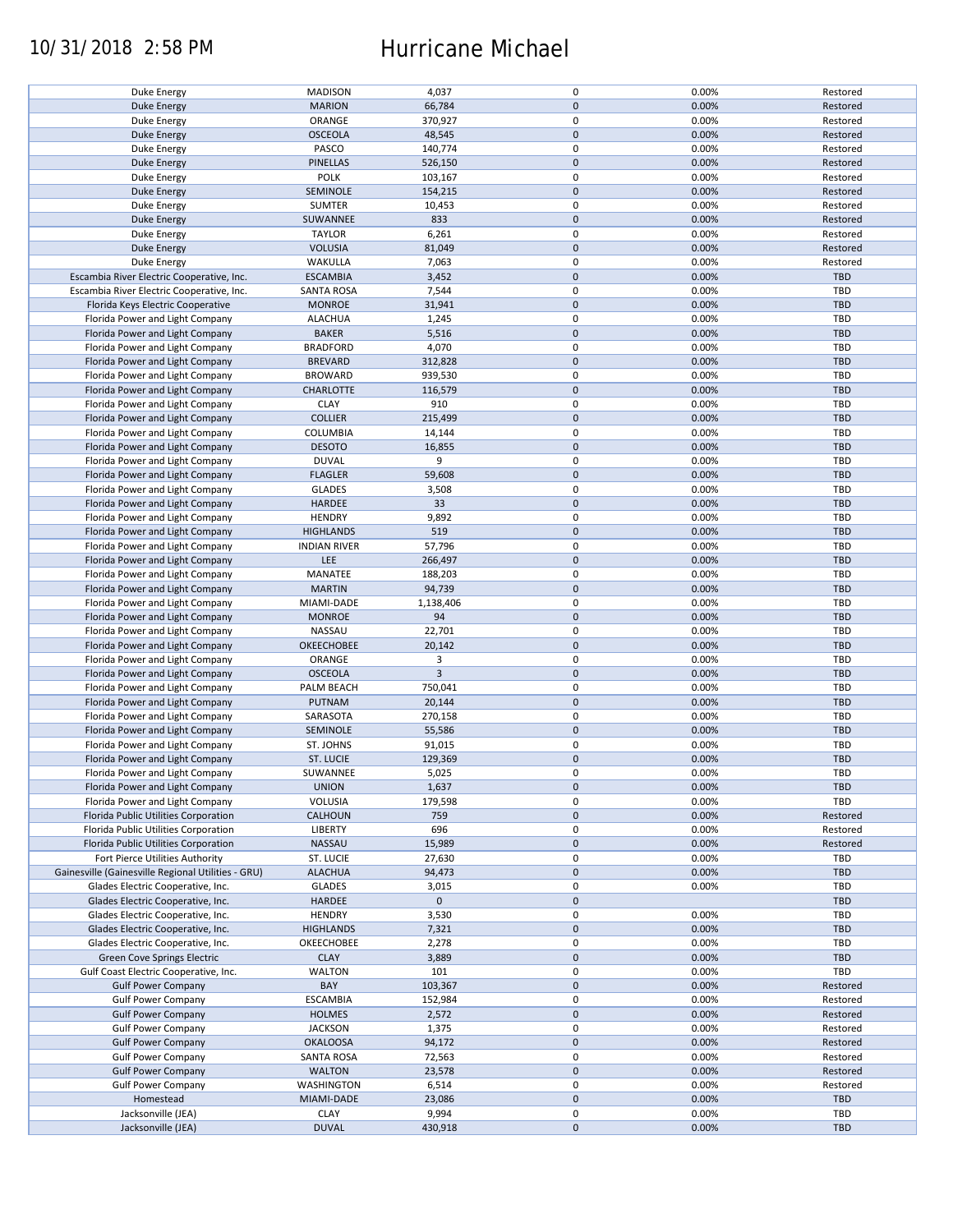## 10/31/2018 2:58 PM Hurricane Michael

| Duke Energy                                        | <b>MADISON</b>      | 4,037          | 0           | 0.00% | Restored   |
|----------------------------------------------------|---------------------|----------------|-------------|-------|------------|
| <b>Duke Energy</b>                                 | <b>MARION</b>       | 66,784         | $\mathbf 0$ | 0.00% | Restored   |
|                                                    |                     |                |             |       |            |
| Duke Energy                                        | ORANGE              | 370,927        | 0           | 0.00% | Restored   |
| Duke Energy                                        | <b>OSCEOLA</b>      | 48,545         | $\mathbf 0$ | 0.00% | Restored   |
| Duke Energy                                        | PASCO               | 140,774        | 0           | 0.00% | Restored   |
|                                                    |                     |                |             |       |            |
| <b>Duke Energy</b>                                 | <b>PINELLAS</b>     | 526,150        | $\mathbf 0$ | 0.00% | Restored   |
| Duke Energy                                        | POLK                | 103,167        | $\mathbf 0$ | 0.00% | Restored   |
| Duke Energy                                        | SEMINOLE            | 154,215        | $\mathbf 0$ | 0.00% | Restored   |
|                                                    |                     |                |             |       |            |
| Duke Energy                                        | <b>SUMTER</b>       | 10,453         | 0           | 0.00% | Restored   |
| <b>Duke Energy</b>                                 | SUWANNEE            | 833            | $\mathbf 0$ | 0.00% | Restored   |
| Duke Energy                                        | <b>TAYLOR</b>       | 6,261          | 0           | 0.00% | Restored   |
|                                                    |                     |                |             |       |            |
| <b>Duke Energy</b>                                 | <b>VOLUSIA</b>      | 81,049         | $\mathbf 0$ | 0.00% | Restored   |
| Duke Energy                                        | WAKULLA             | 7,063          | 0           | 0.00% | Restored   |
| Escambia River Electric Cooperative, Inc.          | <b>ESCAMBIA</b>     | 3,452          | $\mathbf 0$ | 0.00% | <b>TBD</b> |
|                                                    |                     |                |             |       |            |
| Escambia River Electric Cooperative, Inc.          | <b>SANTA ROSA</b>   | 7,544          | $\mathbf 0$ | 0.00% | <b>TBD</b> |
| Florida Keys Electric Cooperative                  | <b>MONROE</b>       | 31,941         | $\mathbf 0$ | 0.00% | <b>TBD</b> |
| Florida Power and Light Company                    | <b>ALACHUA</b>      | 1,245          | 0           | 0.00% | TBD        |
|                                                    |                     |                |             |       |            |
| Florida Power and Light Company                    | <b>BAKER</b>        | 5,516          | $\mathbf 0$ | 0.00% | <b>TBD</b> |
| Florida Power and Light Company                    | <b>BRADFORD</b>     | 4,070          | $\pmb{0}$   | 0.00% | <b>TBD</b> |
|                                                    |                     |                | $\mathbf 0$ |       |            |
| Florida Power and Light Company                    | <b>BREVARD</b>      | 312,828        |             | 0.00% | <b>TBD</b> |
| Florida Power and Light Company                    | <b>BROWARD</b>      | 939,530        | $\pmb{0}$   | 0.00% | <b>TBD</b> |
| Florida Power and Light Company                    | CHARLOTTE           | 116,579        | $\mathbf 0$ | 0.00% | <b>TBD</b> |
|                                                    |                     |                |             |       |            |
| Florida Power and Light Company                    | <b>CLAY</b>         | 910            | $\mathbf 0$ | 0.00% | TBD        |
| Florida Power and Light Company                    | <b>COLLIER</b>      | 215,499        | $\mathbf 0$ | 0.00% | <b>TBD</b> |
|                                                    | <b>COLUMBIA</b>     |                | 0           | 0.00% | <b>TBD</b> |
| Florida Power and Light Company                    |                     | 14,144         |             |       |            |
| Florida Power and Light Company                    | <b>DESOTO</b>       | 16,855         | $\mathbf 0$ | 0.00% | <b>TBD</b> |
| Florida Power and Light Company                    | <b>DUVAL</b>        | 9              | 0           | 0.00% | <b>TBD</b> |
|                                                    |                     |                |             |       | <b>TBD</b> |
| Florida Power and Light Company                    | <b>FLAGLER</b>      | 59,608         | $\mathbf 0$ | 0.00% |            |
| Florida Power and Light Company                    | <b>GLADES</b>       | 3,508          | 0           | 0.00% | <b>TBD</b> |
| Florida Power and Light Company                    | <b>HARDEE</b>       | 33             | $\mathbf 0$ | 0.00% | <b>TBD</b> |
|                                                    |                     |                |             |       |            |
| Florida Power and Light Company                    | <b>HENDRY</b>       | 9,892          | $\mathbf 0$ | 0.00% | TBD        |
| Florida Power and Light Company                    | <b>HIGHLANDS</b>    | 519            | $\mathbf 0$ | 0.00% | <b>TBD</b> |
| Florida Power and Light Company                    | <b>INDIAN RIVER</b> | 57,796         | 0           | 0.00% | <b>TBD</b> |
|                                                    |                     |                |             |       |            |
| Florida Power and Light Company                    | <b>LEE</b>          | 266,497        | $\mathbf 0$ | 0.00% | <b>TBD</b> |
| Florida Power and Light Company                    | MANATEE             | 188,203        | 0           | 0.00% | TBD        |
| Florida Power and Light Company                    | <b>MARTIN</b>       | 94,739         | $\mathbf 0$ | 0.00% | <b>TBD</b> |
|                                                    |                     |                |             |       |            |
| Florida Power and Light Company                    | MIAMI-DADE          | 1,138,406      | $\pmb{0}$   | 0.00% | <b>TBD</b> |
| Florida Power and Light Company                    | <b>MONROE</b>       | 94             | $\mathbf 0$ | 0.00% | <b>TBD</b> |
|                                                    |                     |                |             |       |            |
| Florida Power and Light Company                    | NASSAU              | 22,701         | $\pmb{0}$   | 0.00% | TBD        |
| Florida Power and Light Company                    | OKEECHOBEE          | 20,142         | $\mathbf 0$ | 0.00% | <b>TBD</b> |
| Florida Power and Light Company                    | ORANGE              | 3              | $\mathbf 0$ | 0.00% | <b>TBD</b> |
|                                                    |                     |                |             |       |            |
| Florida Power and Light Company                    | <b>OSCEOLA</b>      | $\overline{3}$ | $\mathbf 0$ | 0.00% | <b>TBD</b> |
| Florida Power and Light Company                    | PALM BEACH          | 750,041        | $\pmb{0}$   | 0.00% | <b>TBD</b> |
| Florida Power and Light Company                    | PUTNAM              | 20,144         | $\mathbf 0$ | 0.00% | <b>TBD</b> |
|                                                    |                     |                |             |       |            |
| Florida Power and Light Company                    | SARASOTA            | 270,158        | $\mathbf 0$ | 0.00% | TBD        |
| Florida Power and Light Company                    | SEMINOLE            | 55,586         | $\mathbf 0$ | 0.00% | <b>TBD</b> |
| Florida Power and Light Company                    | ST. JOHNS           | 91,015         | 0           | 0.00% | <b>TBD</b> |
|                                                    |                     |                |             |       |            |
| Florida Power and Light Company                    | <b>ST. LUCIE</b>    | 129,369        | $\mathbf 0$ | 0.00% | <b>TBD</b> |
| Florida Power and Light Company                    | SUWANNEE            | 5,025          | $\mathbf 0$ | 0.00% | <b>TBD</b> |
|                                                    |                     |                |             |       |            |
| Florida Power and Light Company                    | <b>UNION</b>        | 1,637          | $\pmb{0}$   | 0.00% | <b>TBD</b> |
| Florida Power and Light Company                    | VOLUSIA             | 179,598        | 0           | 0.00% | <b>TBD</b> |
| Florida Public Utilities Corporation               | <b>CALHOUN</b>      | 759            | $\mathbf 0$ | 0.00% | Restored   |
|                                                    |                     |                |             |       |            |
| Florida Public Utilities Corporation               | LIBERTY             | 696            | 0           | 0.00% | Restored   |
| Florida Public Utilities Corporation               | NASSAU              | 15,989         | $\mathbf 0$ | 0.00% | Restored   |
| Fort Pierce Utilities Authority                    | ST. LUCIE           | 27,630         | 0           | 0.00% | <b>TBD</b> |
|                                                    |                     |                |             |       |            |
| Gainesville (Gainesville Regional Utilities - GRU) | <b>ALACHUA</b>      | 94,473         | $\mathbf 0$ | 0.00% | <b>TBD</b> |
| Glades Electric Cooperative, Inc.                  | <b>GLADES</b>       | 3,015          | 0           | 0.00% | <b>TBD</b> |
| Glades Electric Cooperative, Inc.                  | HARDEE              | $\mathbf 0$    | $\mathbf 0$ |       | <b>TBD</b> |
|                                                    |                     |                |             |       |            |
| Glades Electric Cooperative, Inc.                  | <b>HENDRY</b>       | 3,530          | 0           | 0.00% | <b>TBD</b> |
| Glades Electric Cooperative, Inc.                  | <b>HIGHLANDS</b>    | 7,321          | $\pmb{0}$   | 0.00% | <b>TBD</b> |
|                                                    |                     |                |             |       |            |
| Glades Electric Cooperative, Inc.                  | OKEECHOBEE          | 2,278          | 0           | 0.00% | <b>TBD</b> |
| Green Cove Springs Electric                        | <b>CLAY</b>         | 3,889          | $\mathbf 0$ | 0.00% | <b>TBD</b> |
| Gulf Coast Electric Cooperative, Inc.              | <b>WALTON</b>       | 101            | 0           | 0.00% | TBD        |
|                                                    |                     |                |             |       |            |
| <b>Gulf Power Company</b>                          | BAY                 | 103,367        | $\mathbf 0$ | 0.00% | Restored   |
| <b>Gulf Power Company</b>                          | <b>ESCAMBIA</b>     | 152,984        | 0           | 0.00% | Restored   |
| <b>Gulf Power Company</b>                          | <b>HOLMES</b>       | 2,572          | $\pmb{0}$   | 0.00% | Restored   |
|                                                    |                     |                |             |       |            |
| <b>Gulf Power Company</b>                          | <b>JACKSON</b>      | 1,375          | $\pmb{0}$   | 0.00% | Restored   |
| <b>Gulf Power Company</b>                          | <b>OKALOOSA</b>     | 94,172         | $\pmb{0}$   | 0.00% | Restored   |
|                                                    |                     |                | 0           | 0.00% | Restored   |
| <b>Gulf Power Company</b>                          | <b>SANTA ROSA</b>   | 72,563         |             |       |            |
| <b>Gulf Power Company</b>                          | <b>WALTON</b>       | 23,578         | $\mathbf 0$ | 0.00% | Restored   |
| <b>Gulf Power Company</b>                          | WASHINGTON          | 6,514          | 0           | 0.00% | Restored   |
|                                                    |                     |                |             |       |            |
| Homestead                                          | MIAMI-DADE          | 23,086         | $\pmb{0}$   | 0.00% | <b>TBD</b> |
| Jacksonville (JEA)                                 | <b>CLAY</b>         | 9,994          | 0           | 0.00% | <b>TBD</b> |
| Jacksonville (JEA)                                 | <b>DUVAL</b>        | 430,918        | $\pmb{0}$   | 0.00% | <b>TBD</b> |
|                                                    |                     |                |             |       |            |